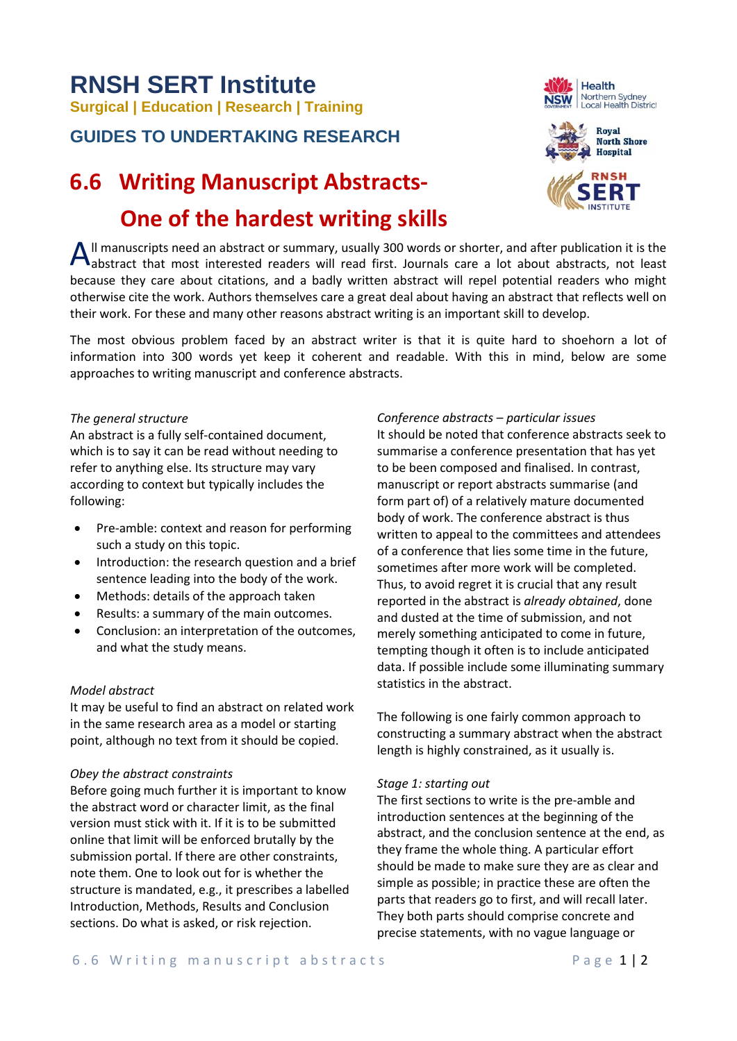# **RNSH SERT Institute Surgical | Education | Research | Training**

### **GUIDES TO UNDERTAKING RESEARCH**

## **6.6 Writing Manuscript Abstracts- One of the hardest writing skills**





ll manuscripts need an abstract or summary, usually 300 words or shorter, and after publication it is the All manuscripts need an abstract or summary, usually 300 words or shorter, and after publication it is the abstract that most interested readers will read first. Journals care a lot about abstracts, not least because they care about citations, and a badly written abstract will repel potential readers who might otherwise cite the work. Authors themselves care a great deal about having an abstract that reflects well on their work. For these and many other reasons abstract writing is an important skill to develop.

The most obvious problem faced by an abstract writer is that it is quite hard to shoehorn a lot of information into 300 words yet keep it coherent and readable. With this in mind, below are some approaches to writing manuscript and conference abstracts.

#### *The general structure*

An abstract is a fully self-contained document, which is to say it can be read without needing to refer to anything else. Its structure may vary according to context but typically includes the following:

- Pre-amble: context and reason for performing such a study on this topic.
- Introduction: the research question and a brief sentence leading into the body of the work.
- Methods: details of the approach taken
- Results: a summary of the main outcomes.
- Conclusion: an interpretation of the outcomes, and what the study means.

#### *Model abstract*

It may be useful to find an abstract on related work in the same research area as a model or starting point, although no text from it should be copied.

#### *Obey the abstract constraints*

Before going much further it is important to know the abstract word or character limit, as the final version must stick with it. If it is to be submitted online that limit will be enforced brutally by the submission portal. If there are other constraints, note them. One to look out for is whether the structure is mandated, e.g., it prescribes a labelled Introduction, Methods, Results and Conclusion sections. Do what is asked, or risk rejection.

#### *Conference abstracts – particular issues*

It should be noted that conference abstracts seek to summarise a conference presentation that has yet to be been composed and finalised. In contrast, manuscript or report abstracts summarise (and form part of) of a relatively mature documented body of work. The conference abstract is thus written to appeal to the committees and attendees of a conference that lies some time in the future, sometimes after more work will be completed. Thus, to avoid regret it is crucial that any result reported in the abstract is *already obtained*, done and dusted at the time of submission, and not merely something anticipated to come in future, tempting though it often is to include anticipated data. If possible include some illuminating summary statistics in the abstract.

The following is one fairly common approach to constructing a summary abstract when the abstract length is highly constrained, as it usually is.

#### *Stage 1: starting out*

The first sections to write is the pre-amble and introduction sentences at the beginning of the abstract, and the conclusion sentence at the end, as they frame the whole thing. A particular effort should be made to make sure they are as clear and simple as possible; in practice these are often the parts that readers go to first, and will recall later. They both parts should comprise concrete and precise statements, with no vague language or